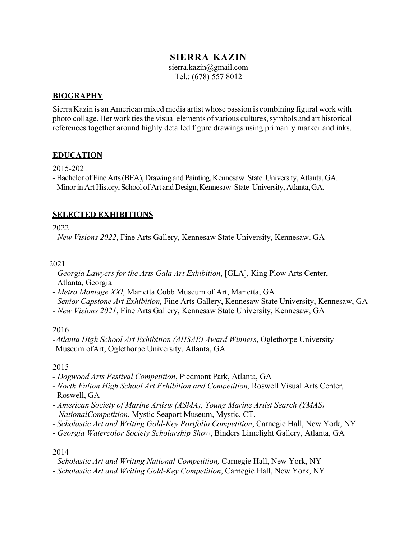## **SIERRA KAZIN**

sierra.kazin@gmail.com Tel.: (678) 557 8012

### **BIOGRAPHY**

Sierra Kazin is an American mixed media artist whose passion is combining figural work with photo collage. Her work ties the visual elements of various cultures, symbols and art historical references together around highly detailed figure drawings using primarily marker and inks.

## **EDUCATION**

2015-2021

- Bachelor of Fine Arts (BFA), Drawing and Painting, Kennesaw State University, Atlanta, GA.

- Minor in Art History, School of Art and Design, Kennesaw State University, Atlanta, GA.

## **SELECTED EXHIBITIONS**

2022

- *New Visions 2022*, Fine Arts Gallery, Kennesaw State University, Kennesaw, GA

### 2021

- *Georgia Lawyers for the Arts Gala Art Exhibition*, [GLA], King Plow Arts Center, Atlanta, Georgia
- *Metro Montage XXI,* Marietta Cobb Museum of Art, Marietta, GA
- *Senior Capstone Art Exhibition,* Fine Arts Gallery, Kennesaw State University, Kennesaw, GA
- *New Visions 2021*, Fine Arts Gallery, Kennesaw State University, Kennesaw, GA

### 2016

-*Atlanta High School Art Exhibition (AHSAE) Award Winners*, Oglethorpe University Museum ofArt, Oglethorpe University, Atlanta, GA

### 2015

- *- Dogwood Arts Festival Competition*, Piedmont Park, Atlanta, GA
- *- North Fulton High School Art Exhibition and Competition,* Roswell Visual Arts Center, Roswell, GA
- *American Society of Marine Artists (ASMA), Young Marine Artist Search (YMAS) NationalCompetition*, Mystic Seaport Museum, Mystic, CT.
- *- Scholastic Art and Writing Gold-Key Portfolio Competition*, Carnegie Hall, New York, NY
- *Georgia Watercolor Society Scholarship Show*, Binders Limelight Gallery, Atlanta, GA

#### 2014

- *Scholastic Art and Writing National Competition,* Carnegie Hall, New York, NY
- *Scholastic Art and Writing Gold-Key Competition*, Carnegie Hall, New York, NY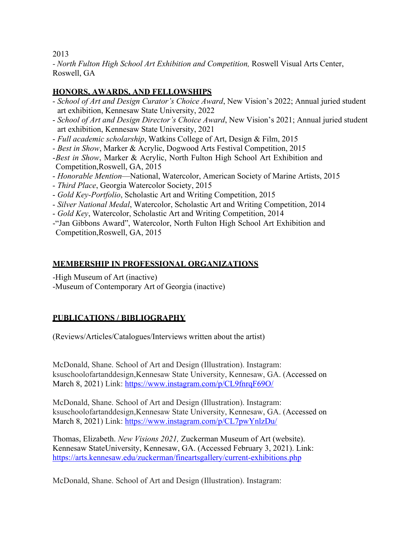2013

*- North Fulton High School Art Exhibition and Competition,* Roswell Visual Arts Center, Roswell, GA

# **HONORS, AWARDS, AND FELLOWSHIPS**

- *School of Art and Design Curator's Choice Award*, New Vision's 2022; Annual juried student art exhibition, Kennesaw State University, 2022
- *School of Art and Design Director's Choice Award*, New Vision's 2021; Annual juried student art exhibition, Kennesaw State University, 2021
- *Full academic scholarship*, Watkins College of Art, Design & Film, 2015
- *Best in Show*, Marker & Acrylic, Dogwood Arts Festival Competition, 2015
- -*Best in Show*, Marker & Acrylic, North Fulton High School Art Exhibition and Competition,Roswell, GA, 2015
- *Honorable Mention*—National, Watercolor, American Society of Marine Artists, 2015
- *Third Place*, Georgia Watercolor Society, 2015
- *Gold Key-Portfolio*, Scholastic Art and Writing Competition, 2015
- *Silver National Medal*, Watercolor, Scholastic Art and Writing Competition, 2014
- *Gold Key*, Watercolor, Scholastic Art and Writing Competition, 2014

-"Jan Gibbons Award", Watercolor, North Fulton High School Art Exhibition and Competition,Roswell, GA, 2015

## **MEMBERSHIP IN PROFESSIONAL ORGANIZATIONS**

-High Museum of Art (inactive)

-Museum of Contemporary Art of Georgia (inactive)

# **PUBLICATIONS / BIBLIOGRAPHY**

(Reviews/Articles/Catalogues/Interviews written about the artist)

McDonald, Shane. School of Art and Design (Illustration). Instagram: ksuschoolofartanddesign,Kennesaw State University, Kennesaw, GA. (Accessed on March 8, 2021) Link: https://www.instagram.com/p/CL9fnrqF69O/

McDonald, Shane. School of Art and Design (Illustration). Instagram: ksuschoolofartanddesign,Kennesaw State University, Kennesaw, GA. (Accessed on March 8, 2021) Link: https://www.instagram.com/p/CL7pwYnlzDu/

Thomas, Elizabeth. *New Visions 2021,* Zuckerman Museum of Art (website). Kennesaw StateUniversity, Kennesaw, GA. (Accessed February 3, 2021). Link: https://arts.kennesaw.edu/zuckerman/fineartsgallery/current-exhibitions.php

McDonald, Shane. School of Art and Design (Illustration). Instagram: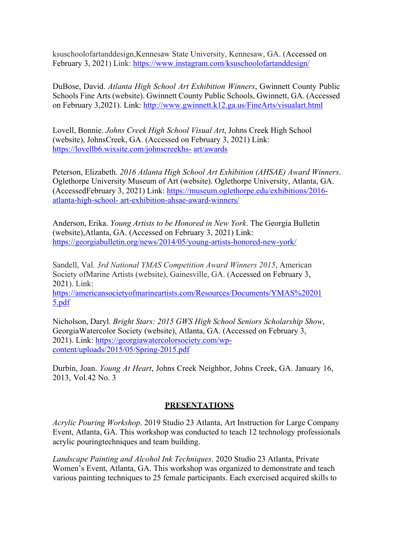ksuschoolofartanddesign,Kennesaw State University, Kennesaw, GA. (Accessed on February 3, 2021) Link: https://www.instagram.com/ksuschoolofartanddesign/

DuBose, David. *Atlanta High School Art Exhibition Winners*, Gwinnett County Public Schools Fine Arts (website). Gwinnett County Public Schools, Gwinnett, GA. (Accessed on February 3,2021). Link: http://www.gwinnett.k12.ga.us/FineArts/visualart.html

Lovell, Bonnie. *Johns Creek High School Visual Art*, Johns Creek High School (website), JohnsCreek, GA. (Accessed on February 3, 2021) Link: https://lovellb6.wixsite.com/johnscreekhs- art/awards

Peterson, Elizabeth. *2016 Atlanta High School Art Exhibition (AHSAE) Award Winners*. Oglethorpe University Museum of Art (website). Oglethorpe University, Atlanta, GA. (AccessedFebruary 3, 2021) Link: https://museum.oglethorpe.edu/exhibitions/2016 atlanta-high-school- art-exhibition-ahsae-award-winners/

Anderson, Erika. *Young Artists to be Honored in New York*. The Georgia Bulletin (website),Atlanta, GA. (Accessed on February 3, 2021) Link: https://georgiabulletin.org/news/2014/05/young-artists-honored-new-york/

Sandell, Val. *3rd National YMAS Competition Award Winners 2015*, American Society ofMarine Artists (website), Gainesville, GA. (Accessed on February 3, 2021). Link:

https://americansocietyofmarineartists.com/Resources/Documents/YMAS%20201 5.pdf

Nicholson, Daryl. *Bright Stars: 2015 GWS High School Seniors Scholarship Show*, GeorgiaWatercolor Society (website), Atlanta, GA. (Accessed on February 3, 2021). Link: https://georgiawatercolorsociety.com/wpcontent/uploads/2015/05/Spring-2015.pdf

Durbin, Joan. *Young At Heart*, Johns Creek Neighbor, Johns Creek, GA. January 16, 2013, Vol.42 No. 3

### **PRESENTATIONS**

*Acrylic Pouring Workshop*. 2019 Studio 23 Atlanta, Art Instruction for Large Company Event, Atlanta, GA. This workshop was conducted to teach 12 technology professionals acrylic pouringtechniques and team building.

*Landscape Painting and Alcohol Ink Techniques*. 2020 Studio 23 Atlanta, Private Women's Event, Atlanta, GA. This workshop was organized to demonstrate and teach various painting techniques to 25 female participants. Each exercised acquired skills to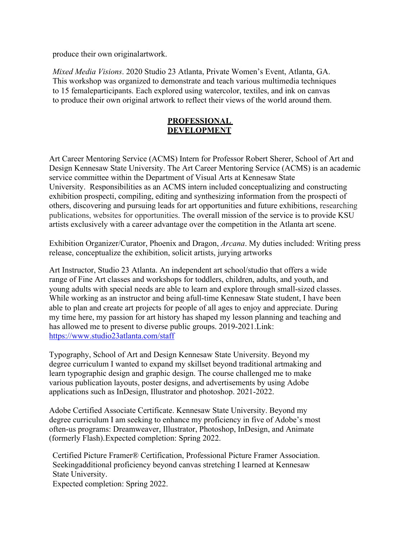produce their own original artwork.

*Mixed Media Visions*. 2020 Studio 23 Atlanta, Private Women's Event, Atlanta, GA. This workshop was organized to demonstrate and teach various multimedia techniques to 15 femaleparticipants. Each explored using watercolor, textiles, and ink on canvas to produce their own original artwork to reflect their views of the world around them.

#### **PROFESSIONAL DEVELOPMENT**

Art Career Mentoring Service (ACMS) Intern for Professor Robert Sherer, School of Art and Design Kennesaw State University. The Art Career Mentoring Service (ACMS) is an academic service committee within the Department of Visual Arts at Kennesaw State University. Responsibilities as an ACMS intern included conceptualizing and constructing exhibition prospecti, compiling, editing and synthesizing information from the prospecti of others, discovering and pursuing leads for art opportunities and future exhibitions, researching publications, websites for opportunities. The overall mission of the service is to provide KSU artists exclusively with a career advantage over the competition in the Atlanta art scene.

Exhibition Organizer/Curator, Phoenix and Dragon, *Arcana*. My duties included: Writing press release, conceptualize the exhibition, solicit artists, jurying artworks

Art Instructor, Studio 23 Atlanta. An independent art school/studio that offers a wide range of Fine Art classes and workshops for toddlers, children, adults, and youth, and young adults with special needs are able to learn and explore through small-sized classes. While working as an instructor and being afull-time Kennesaw State student, I have been able to plan and create art projects for people of all ages to enjoy and appreciate. During my time here, my passion for art history has shaped my lesson planning and teaching and has allowed me to present to diverse public groups. 2019-2021.Link: https://www.studio23atlanta.com/staff

Typography, School of Art and Design Kennesaw State University. Beyond my degree curriculum I wanted to expand my skillset beyond traditional artmaking and learn typographic design and graphic design. The course challenged me to make various publication layouts, poster designs, and advertisements by using Adobe applications such as InDesign, Illustrator and photoshop. 2021-2022.

Adobe Certified Associate Certificate. Kennesaw State University. Beyond my degree curriculum I am seeking to enhance my proficiency in five of Adobe's most often-us programs: Dreamweaver, Illustrator, Photoshop, InDesign, and Animate (formerly Flash). Expected completion: Spring 2022.

Certified Picture Framer® Certification, Professional Picture Framer Association. Seekingadditional proficiency beyond canvas stretching I learned at Kennesaw State University.

Expected completion: Spring 2022.